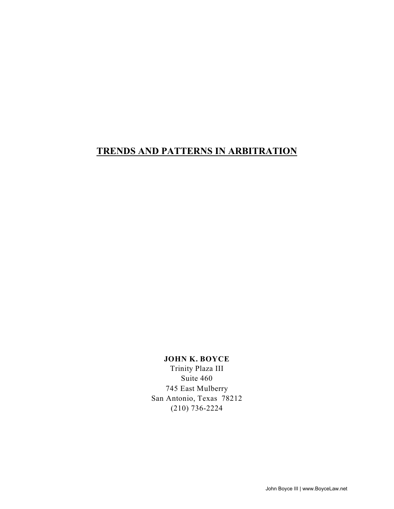# **TRENDS AND PATTERNS IN ARBITRATION**

# **JOHN K. BOYCE**

Trinity Plaza III Suite 460 745 East Mulberry San Antonio, Texas 78212 (210) 736-2224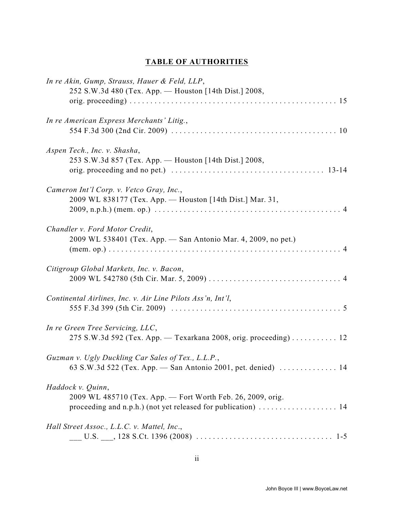# **TABLE OF AUTHORITIES**

| In re Akin, Gump, Strauss, Hauer & Feld, LLP,<br>252 S.W.3d 480 (Tex. App. - Houston [14th Dist.] 2008,                                           |
|---------------------------------------------------------------------------------------------------------------------------------------------------|
| In re American Express Merchants' Litig.,                                                                                                         |
| Aspen Tech., Inc. v. Shasha,<br>253 S.W.3d 857 (Tex. App. — Houston [14th Dist.] 2008,                                                            |
| Cameron Int'l Corp. v. Vetco Gray, Inc.,<br>2009 WL 838177 (Tex. App. — Houston [14th Dist.] Mar. 31,                                             |
| Chandler v. Ford Motor Credit,<br>2009 WL 538401 (Tex. App. - San Antonio Mar. 4, 2009, no pet.)                                                  |
| Citigroup Global Markets, Inc. v. Bacon,                                                                                                          |
| Continental Airlines, Inc. v. Air Line Pilots Ass'n, Int'l,                                                                                       |
| In re Green Tree Servicing, LLC,<br>275 S.W.3d 592 (Tex. App. — Texarkana 2008, orig. proceeding) 12                                              |
| Guzman v. Ugly Duckling Car Sales of Tex., L.L.P.,                                                                                                |
| Haddock v. Quinn,<br>2009 WL 485710 (Tex. App. - Fort Worth Feb. 26, 2009, orig.<br>proceeding and n.p.h.) (not yet released for publication)  14 |
| Hall Street Assoc., L.L.C. v. Mattel, Inc.,                                                                                                       |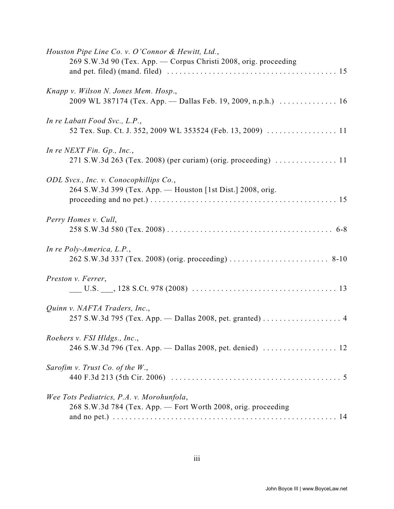| Houston Pipe Line Co. v. O'Connor & Hewitt, Ltd.,<br>269 S.W.3d 90 (Tex. App. - Corpus Christi 2008, orig. proceeding |
|-----------------------------------------------------------------------------------------------------------------------|
|                                                                                                                       |
| Knapp v. Wilson N. Jones Mem. Hosp.,<br>2009 WL 387174 (Tex. App. - Dallas Feb. 19, 2009, n.p.h.)  16                 |
| In re Labatt Food Svc., L.P.,                                                                                         |
| In re NEXT Fin. Gp., Inc.,                                                                                            |
| ODL Svcs., Inc. v. Conocophillips Co.,<br>264 S.W.3d 399 (Tex. App. - Houston [1st Dist.] 2008, orig.                 |
| Perry Homes v. Cull,                                                                                                  |
| In re Poly-America, L.P.,                                                                                             |
| Preston v. Ferrer,                                                                                                    |
| Quinn v. NAFTA Traders, Inc.,<br>257 S.W.3d 795 (Tex. App. - Dallas 2008, pet. granted)  4                            |
| Roehers v. FSI Hldgs., Inc.,                                                                                          |
| Sarofim v. Trust Co. of the $W_{\cdot}$ ,                                                                             |
| Wee Tots Pediatrics, P.A. v. Morohunfola,<br>268 S.W.3d 784 (Tex. App. - Fort Worth 2008, orig. proceeding            |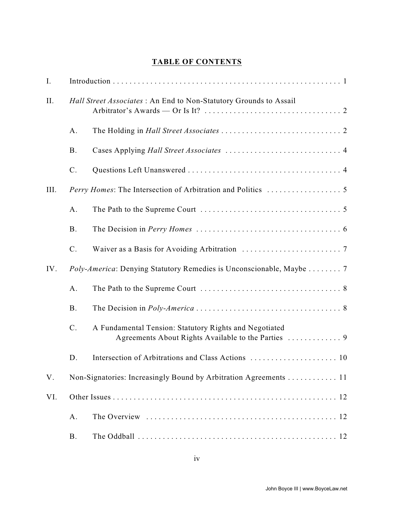# **TABLE OF CONTENTS**

| I.   |                |                                                                                                               |  |  |
|------|----------------|---------------------------------------------------------------------------------------------------------------|--|--|
| II.  |                | Hall Street Associates : An End to Non-Statutory Grounds to Assail                                            |  |  |
|      | A.             |                                                                                                               |  |  |
|      | <b>B.</b>      |                                                                                                               |  |  |
|      | $C$ .          |                                                                                                               |  |  |
| III. |                |                                                                                                               |  |  |
|      | A.             |                                                                                                               |  |  |
|      | <b>B.</b>      |                                                                                                               |  |  |
|      | $\mathcal{C}.$ |                                                                                                               |  |  |
| IV.  |                | Poly-America: Denying Statutory Remedies is Unconscionable, Maybe  7                                          |  |  |
|      | A.             |                                                                                                               |  |  |
|      | <b>B.</b>      |                                                                                                               |  |  |
|      | $\mathcal{C}.$ | A Fundamental Tension: Statutory Rights and Negotiated<br>Agreements About Rights Available to the Parties  9 |  |  |
|      | D.             |                                                                                                               |  |  |
| V.   |                | Non-Signatories: Increasingly Bound by Arbitration Agreements 11                                              |  |  |
| VI.  |                |                                                                                                               |  |  |
|      | A.             |                                                                                                               |  |  |
|      | <b>B.</b>      |                                                                                                               |  |  |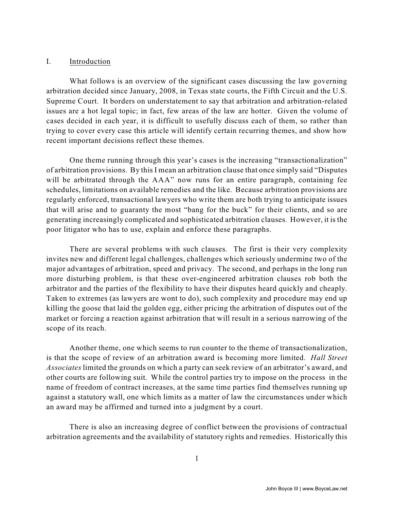#### I. Introduction

What follows is an overview of the significant cases discussing the law governing arbitration decided since January, 2008, in Texas state courts, the Fifth Circuit and the U.S. Supreme Court. It borders on understatement to say that arbitration and arbitration-related issues are a hot legal topic; in fact, few areas of the law are hotter. Given the volume of cases decided in each year, it is difficult to usefully discuss each of them, so rather than trying to cover every case this article will identify certain recurring themes, and show how recent important decisions reflect these themes.

One theme running through this year's cases is the increasing "transactionalization" of arbitration provisions. By this I mean an arbitration clause that once simply said "Disputes will be arbitrated through the AAA" now runs for an entire paragraph, containing fee schedules, limitations on available remedies and the like. Because arbitration provisions are regularly enforced, transactional lawyers who write them are both trying to anticipate issues that will arise and to guaranty the most "bang for the buck" for their clients, and so are generating increasingly complicated and sophisticated arbitration clauses. However, it is the poor litigator who has to use, explain and enforce these paragraphs.

There are several problems with such clauses. The first is their very complexity invites new and different legal challenges, challenges which seriously undermine two of the major advantages of arbitration, speed and privacy. The second, and perhaps in the long run more disturbing problem, is that these over-engineered arbitration clauses rob both the arbitrator and the parties of the flexibility to have their disputes heard quickly and cheaply. Taken to extremes (as lawyers are wont to do), such complexity and procedure may end up killing the goose that laid the golden egg, either pricing the arbitration of disputes out of the market or forcing a reaction against arbitration that will result in a serious narrowing of the scope of its reach.

Another theme, one which seems to run counter to the theme of transactionalization, is that the scope of review of an arbitration award is becoming more limited. *Hall Street Associates* limited the grounds on which a party can seek review of an arbitrator's award, and other courts are following suit. While the control parties try to impose on the process in the name of freedom of contract increases, at the same time parties find themselves running up against a statutory wall, one which limits as a matter of law the circumstances under which an award may be affirmed and turned into a judgment by a court.

There is also an increasing degree of conflict between the provisions of contractual arbitration agreements and the availability of statutory rights and remedies. Historically this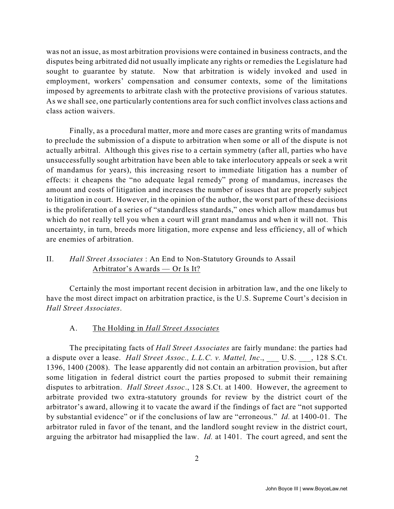was not an issue, as most arbitration provisions were contained in business contracts, and the disputes being arbitrated did not usually implicate any rights or remedies the Legislature had sought to guarantee by statute. Now that arbitration is widely invoked and used in employment, workers' compensation and consumer contexts, some of the limitations imposed by agreements to arbitrate clash with the protective provisions of various statutes. As we shall see, one particularly contentions area for such conflict involves class actions and class action waivers.

Finally, as a procedural matter, more and more cases are granting writs of mandamus to preclude the submission of a dispute to arbitration when some or all of the dispute is not actually arbitral. Although this gives rise to a certain symmetry (after all, parties who have unsuccessfully sought arbitration have been able to take interlocutory appeals or seek a writ of mandamus for years), this increasing resort to immediate litigation has a number of effects: it cheapens the "no adequate legal remedy" prong of mandamus, increases the amount and costs of litigation and increases the number of issues that are properly subject to litigation in court. However, in the opinion of the author, the worst part of these decisions is the proliferation of a series of "standardless standards," ones which allow mandamus but which do not really tell you when a court will grant mandamus and when it will not. This uncertainty, in turn, breeds more litigation, more expense and less efficiency, all of which are enemies of arbitration.

# II. *Hall Street Associates* : An End to Non-Statutory Grounds to Assail Arbitrator's Awards — Or Is It?

Certainly the most important recent decision in arbitration law, and the one likely to have the most direct impact on arbitration practice, is the U.S. Supreme Court's decision in *Hall Street Associates*.

## A. The Holding in *Hall Street Associates*

The precipitating facts of *Hall Street Associates* are fairly mundane: the parties had a dispute over a lease. *Hall Street Assoc., L.L.C. v. Mattel, Inc.*, U.S. , 128 S.Ct. 1396, 1400 (2008). The lease apparently did not contain an arbitration provision, but after some litigation in federal district court the parties proposed to submit their remaining disputes to arbitration. *Hall Street Assoc*., 128 S.Ct. at 1400. However, the agreement to arbitrate provided two extra-statutory grounds for review by the district court of the arbitrator's award, allowing it to vacate the award if the findings of fact are "not supported by substantial evidence" or if the conclusions of law are "erroneous." *Id.* at 1400-01. The arbitrator ruled in favor of the tenant, and the landlord sought review in the district court, arguing the arbitrator had misapplied the law. *Id.* at 1401. The court agreed, and sent the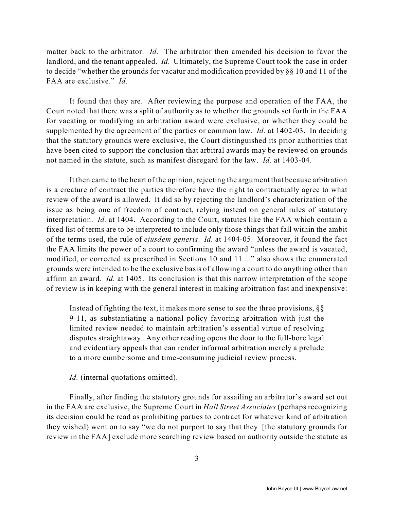matter back to the arbitrator. *Id.* The arbitrator then amended his decision to favor the landlord, and the tenant appealed. *Id.* Ultimately, the Supreme Court took the case in order to decide "whether the grounds for vacatur and modification provided by §§ 10 and 11 of the FAA are exclusive." *Id.* 

It found that they are. After reviewing the purpose and operation of the FAA, the Court noted that there was a split of authority as to whether the grounds set forth in the FAA for vacating or modifying an arbitration award were exclusive, or whether they could be supplemented by the agreement of the parties or common law. *Id.* at 1402-03. In deciding that the statutory grounds were exclusive, the Court distinguished its prior authorities that have been cited to support the conclusion that arbitral awards may be reviewed on grounds not named in the statute, such as manifest disregard for the law. *Id.* at 1403-04.

It then came to the heart of the opinion, rejecting the argument that because arbitration is a creature of contract the parties therefore have the right to contractually agree to what review of the award is allowed. It did so by rejecting the landlord's characterization of the issue as being one of freedom of contract, relying instead on general rules of statutory interpretation. *Id.* at 1404. According to the Court, statutes like the FAA which contain a fixed list of terms are to be interpreted to include only those things that fall within the ambit of the terms used, the rule of *ejusdem generis*. *Id.* at 1404-05. Moreover, it found the fact the FAA limits the power of a court to confirming the award "unless the award is vacated, modified, or corrected as prescribed in Sections 10 and 11 ..." also shows the enumerated grounds were intended to be the exclusive basis of allowing a court to do anything other than affirm an award. *Id.* at 1405. Its conclusion is that this narrow interpretation of the scope of review is in keeping with the general interest in making arbitration fast and inexpensive:

Instead of fighting the text, it makes more sense to see the three provisions, §§ 9-11, as substantiating a national policy favoring arbitration with just the limited review needed to maintain arbitration's essential virtue of resolving disputes straightaway. Any other reading opens the door to the full-bore legal and evidentiary appeals that can render informal arbitration merely a prelude to a more cumbersome and time-consuming judicial review process.

*Id.* (internal quotations omitted).

Finally, after finding the statutory grounds for assailing an arbitrator's award set out in the FAA are exclusive, the Supreme Court in *Hall Street Associates* (perhaps recognizing its decision could be read as prohibiting parties to contract for whatever kind of arbitration they wished) went on to say "we do not purport to say that they [the statutory grounds for review in the FAA] exclude more searching review based on authority outside the statute as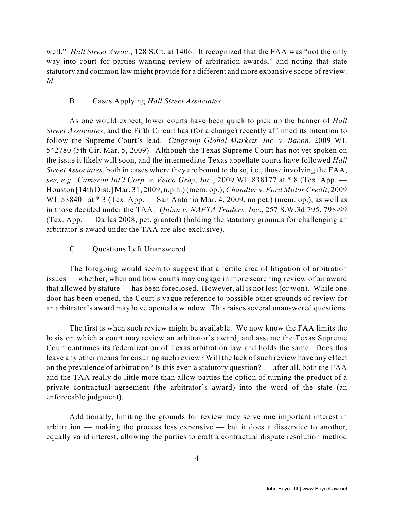well." *Hall Street Assoc*., 128 S.Ct. at 1406. It recognized that the FAA was "not the only way into court for parties wanting review of arbitration awards," and noting that state statutory and common law might provide for a different and more expansive scope of review. *Id.* 

# B. Cases Applying *Hall Street Associates*

As one would expect, lower courts have been quick to pick up the banner of *Hall Street Associates*, and the Fifth Circuit has (for a change) recently affirmed its intention to follow the Supreme Court's lead. *Citigroup Global Markets, Inc. v. Bacon*, 2009 WL 542780 (5th Cir. Mar. 5, 2009). Although the Texas Supreme Court has not yet spoken on the issue it likely will soon, and the intermediate Texas appellate courts have followed *Hall Street Associates*, both in cases where they are bound to do so, i.e., those involving the FAA, *see, e.g., Cameron Int'l Corp. v. Vetco Gray, Inc.*, 2009 WL 838177 at \* 8 (Tex. App. — Houston [14th Dist.] Mar. 31, 2009, n.p.h.) (mem. op.); *Chandler v. Ford Motor Credit*, 2009 WL 538401 at \* 3 (Tex. App. — San Antonio Mar. 4, 2009, no pet.) (mem. op.), as well as in those decided under the TAA. *Quinn v. NAFTA Traders, Inc*., 257 S.W.3d 795, 798-99 (Tex. App. — Dallas 2008, pet. granted) (holding the statutory grounds for challenging an arbitrator's award under the TAA are also exclusive).

# C. Questions Left Unanswered

The foregoing would seem to suggest that a fertile area of litigation of arbitration issues — whether, when and how courts may engage in more searching review of an award that allowed by statute — has been foreclosed. However, all is not lost (or won). While one door has been opened, the Court's vague reference to possible other grounds of review for an arbitrator's award may have opened a window. This raises several unanswered questions.

The first is when such review might be available. We now know the FAA limits the basis on which a court may review an arbitrator's award, and assume the Texas Supreme Court continues its federalization of Texas arbitration law and holds the same. Does this leave any other means for ensuring such review? Will the lack of such review have any effect on the prevalence of arbitration? Is this even a statutory question? — after all, both the FAA and the TAA really do little more than allow parties the option of turning the product of a private contractual agreement (the arbitrator's award) into the word of the state (an enforceable judgment).

Additionally, limiting the grounds for review may serve one important interest in arbitration — making the process less expensive — but it does a disservice to another, equally valid interest, allowing the parties to craft a contractual dispute resolution method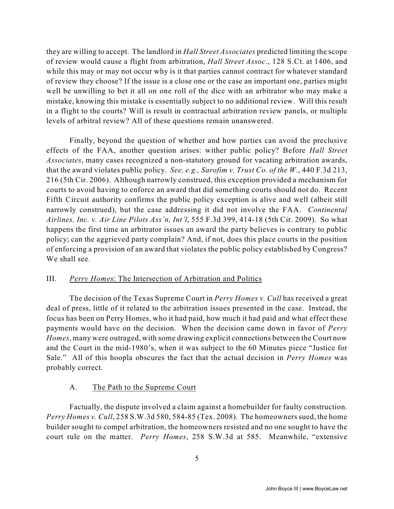they are willing to accept. The landlord in *Hall Street Associates* predicted limiting the scope of review would cause a flight from arbitration, *Hall Street Assoc*., 128 S.Ct. at 1406, and while this may or may not occur why is it that parties cannot contract for whatever standard of review they choose? If the issue is a close one or the case an important one, parties might well be unwilling to bet it all on one roll of the dice with an arbitrator who may make a mistake, knowing this mistake is essentially subject to no additional review. Will this result in a flight to the courts? Will is result in contractual arbitration review panels, or multiple levels of arbitral review? All of these questions remain unanswered.

Finally, beyond the question of whether and how parties can avoid the preclusive effects of the FAA, another question arises: wither public policy? Before *Hall Street Associates*, many cases recognized a non-statutory ground for vacating arbitration awards, that the award violates public policy. *See, e.g., Sarofim v. Trust Co. of the W*., 440 F.3d 213, 216 (5th Cir. 2006). Although narrowly construed, this exception provided a mechanism for courts to avoid having to enforce an award that did something courts should not do. Recent Fifth Circuit authority confirms the public policy exception is alive and well (albeit still narrowly construed), but the case addressing it did not involve the FAA. *Continental Airlines, Inc. v. Air Line Pilots Ass'n, Int'l*, 555 F.3d 399, 414-18 (5th Cir. 2009). So what happens the first time an arbitrator issues an award the party believes is contrary to public policy; can the aggrieved party complain? And, if not, does this place courts in the position of enforcing a provision of an award that violates the public policy established by Congress? We shall see.

#### III. *Perry Homes*: The Intersection of Arbitration and Politics

The decision of the Texas Supreme Court in *Perry Homes v. Cull* has received a great deal of press, little of it related to the arbitration issues presented in the case. Instead, the focus has been on Perry Homes, who it had paid, how much it had paid and what effect these payments would have on the decision. When the decision came down in favor of *Perry Homes*, many were outraged, with some drawing explicit connections between the Court now and the Court in the mid-1980's, when it was subject to the 60 Minutes piece "Justice for Sale." All of this hoopla obscures the fact that the actual decision in *Perry Homes* was probably correct.

#### A. The Path to the Supreme Court

Factually, the dispute involved a claim against a homebuilder for faulty construction. *Perry Homes v. Cull*, 258 S.W.3d 580, 584-85 (Tex. 2008). The homeowners sued, the home builder sought to compel arbitration, the homeowners resisted and no one sought to have the court rule on the matter. *Perry Homes*, 258 S.W.3d at 585. Meanwhile, "extensive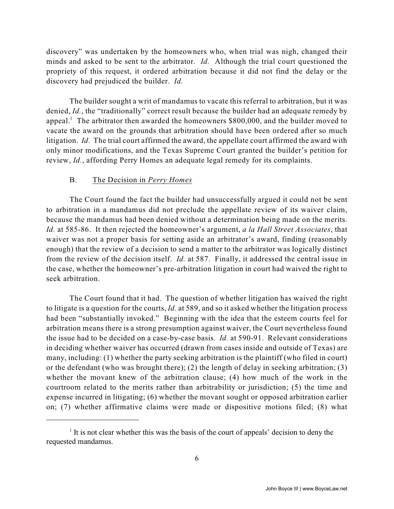discovery" was undertaken by the homeowners who, when trial was nigh, changed their minds and asked to be sent to the arbitrator. *Id.* Although the trial court questioned the propriety of this request, it ordered arbitration because it did not find the delay or the discovery had prejudiced the builder. *Id.*

The builder sought a writ of mandamus to vacate this referral to arbitration, but it was denied, *Id.*, the "traditionally" correct result because the builder had an adequate remedy by appeal.<sup>1</sup> The arbitrator then awarded the homeowners  $$800,000$ , and the builder moved to vacate the award on the grounds that arbitration should have been ordered after so much litigation. *Id.* The trial court affirmed the award, the appellate court affirmed the award with only minor modifications, and the Texas Supreme Court granted the builder's petition for review, *Id.*, affording Perry Homes an adequate legal remedy for its complaints.

#### B. The Decision in *Perry Homes*

The Court found the fact the builder had unsuccessfully argued it could not be sent to arbitration in a mandamus did not preclude the appellate review of its waiver claim, because the mandamus had been denied without a determination being made on the merits. *Id.* at 585-86. It then rejected the homeowner's argument, *a la Hall Street Associates*, that waiver was not a proper basis for setting aside an arbitrator's award, finding (reasonably enough) that the review of a decision to send a matter to the arbitrator was logically distinct from the review of the decision itself. *Id.* at 587. Finally, it addressed the central issue in the case, whether the homeowner's pre-arbitration litigation in court had waived the right to seek arbitration.

The Court found that it had. The question of whether litigation has waived the right to litigate is a question for the courts, *Id.* at 589, and so it asked whether the litigation process had been "substantially invoked." Beginning with the idea that the esteem courts feel for arbitration means there is a strong presumption against waiver, the Court nevertheless found the issue had to be decided on a case-by-case basis. *Id.* at 590-91. Relevant considerations in deciding whether waiver has occurred (drawn from cases inside and outside of Texas) are many, including: (1) whether the party seeking arbitration is the plaintiff (who filed in court) or the defendant (who was brought there); (2) the length of delay in seeking arbitration; (3) whether the movant knew of the arbitration clause; (4) how much of the work in the courtroom related to the merits rather than arbitrability or jurisdiction; (5) the time and expense incurred in litigating; (6) whether the movant sought or opposed arbitration earlier on; (7) whether affirmative claims were made or dispositive motions filed; (8) what

 $\frac{1}{1}$  It is not clear whether this was the basis of the court of appeals' decision to deny the requested mandamus.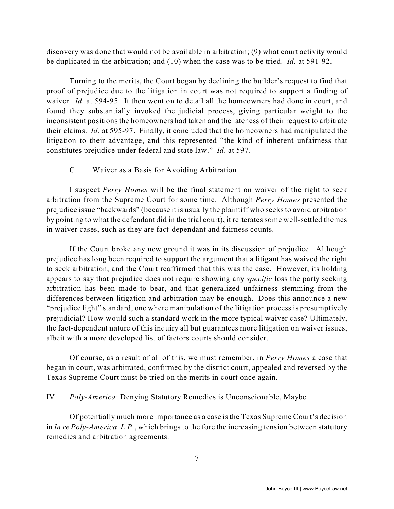discovery was done that would not be available in arbitration; (9) what court activity would be duplicated in the arbitration; and (10) when the case was to be tried. *Id.* at 591-92.

Turning to the merits, the Court began by declining the builder's request to find that proof of prejudice due to the litigation in court was not required to support a finding of waiver. *Id.* at 594-95. It then went on to detail all the homeowners had done in court, and found they substantially invoked the judicial process, giving particular weight to the inconsistent positions the homeowners had taken and the lateness of their request to arbitrate their claims. *Id.* at 595-97. Finally, it concluded that the homeowners had manipulated the litigation to their advantage, and this represented "the kind of inherent unfairness that constitutes prejudice under federal and state law." *Id.* at 597.

## C. Waiver as a Basis for Avoiding Arbitration

I suspect *Perry Homes* will be the final statement on waiver of the right to seek arbitration from the Supreme Court for some time. Although *Perry Homes* presented the prejudice issue "backwards" (because it is usually the plaintiff who seeks to avoid arbitration by pointing to what the defendant did in the trial court), it reiterates some well-settled themes in waiver cases, such as they are fact-dependant and fairness counts.

If the Court broke any new ground it was in its discussion of prejudice. Although prejudice has long been required to support the argument that a litigant has waived the right to seek arbitration, and the Court reaffirmed that this was the case. However, its holding appears to say that prejudice does not require showing any *specific* loss the party seeking arbitration has been made to bear, and that generalized unfairness stemming from the differences between litigation and arbitration may be enough. Does this announce a new "prejudice light" standard, one where manipulation of the litigation process is presumptively prejudicial? How would such a standard work in the more typical waiver case? Ultimately, the fact-dependent nature of this inquiry all but guarantees more litigation on waiver issues, albeit with a more developed list of factors courts should consider.

Of course, as a result of all of this, we must remember, in *Perry Homes* a case that began in court, was arbitrated, confirmed by the district court, appealed and reversed by the Texas Supreme Court must be tried on the merits in court once again.

#### IV. *Poly-America*: Denying Statutory Remedies is Unconscionable, Maybe

Of potentially much more importance as a case is the Texas Supreme Court's decision in *In re Poly-America, L.P.*, which brings to the fore the increasing tension between statutory remedies and arbitration agreements.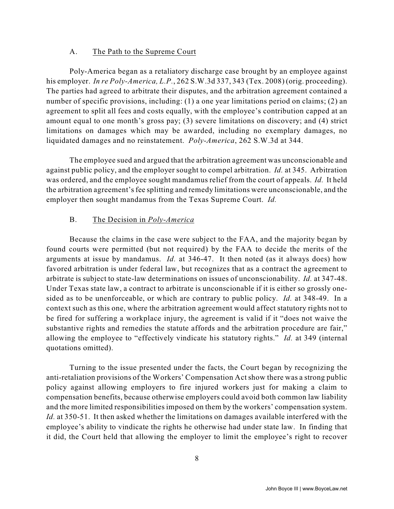#### A. The Path to the Supreme Court

Poly-America began as a retaliatory discharge case brought by an employee against his employer. *In re Poly-America, L.P.*, 262 S.W.3d 337, 343 (Tex. 2008) (orig. proceeding). The parties had agreed to arbitrate their disputes, and the arbitration agreement contained a number of specific provisions, including: (1) a one year limitations period on claims; (2) an agreement to split all fees and costs equally, with the employee's contribution capped at an amount equal to one month's gross pay; (3) severe limitations on discovery; and (4) strict limitations on damages which may be awarded, including no exemplary damages, no liquidated damages and no reinstatement. *Poly-America*, 262 S.W.3d at 344.

The employee sued and argued that the arbitration agreement was unconscionable and against public policy, and the employer sought to compel arbitration. *Id.* at 345. Arbitration was ordered, and the employee sought mandamus relief from the court of appeals. *Id.* It held the arbitration agreement's fee splitting and remedy limitations were unconscionable, and the employer then sought mandamus from the Texas Supreme Court. *Id.*

#### B. The Decision in *Poly-America*

Because the claims in the case were subject to the FAA, and the majority began by found courts were permitted (but not required) by the FAA to decide the merits of the arguments at issue by mandamus. *Id.* at 346-47. It then noted (as it always does) how favored arbitration is under federal law, but recognizes that as a contract the agreement to arbitrate is subject to state-law determinations on issues of unconscionability. *Id.* at 347-48. Under Texas state law, a contract to arbitrate is unconscionable if it is either so grossly onesided as to be unenforceable, or which are contrary to public policy. *Id.* at 348-49. In a context such as this one, where the arbitration agreement would affect statutory rights not to be fired for suffering a workplace injury, the agreement is valid if it "does not waive the substantive rights and remedies the statute affords and the arbitration procedure are fair," allowing the employee to "effectively vindicate his statutory rights." *Id.* at 349 (internal quotations omitted).

Turning to the issue presented under the facts, the Court began by recognizing the anti-retaliation provisions of the Workers' Compensation Act show there was a strong public policy against allowing employers to fire injured workers just for making a claim to compensation benefits, because otherwise employers could avoid both common law liability and the more limited responsibilities imposed on them by the workers' compensation system. *Id.* at 350-51. It then asked whether the limitations on damages available interfered with the employee's ability to vindicate the rights he otherwise had under state law. In finding that it did, the Court held that allowing the employer to limit the employee's right to recover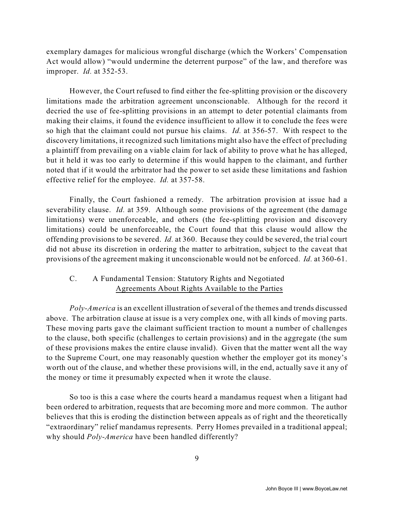exemplary damages for malicious wrongful discharge (which the Workers' Compensation Act would allow) "would undermine the deterrent purpose" of the law, and therefore was improper. *Id.* at 352-53.

However, the Court refused to find either the fee-splitting provision or the discovery limitations made the arbitration agreement unconscionable. Although for the record it decried the use of fee-splitting provisions in an attempt to deter potential claimants from making their claims, it found the evidence insufficient to allow it to conclude the fees were so high that the claimant could not pursue his claims. *Id.* at 356-57. With respect to the discovery limitations, it recognized such limitations might also have the effect of precluding a plaintiff from prevailing on a viable claim for lack of ability to prove what he has alleged, but it held it was too early to determine if this would happen to the claimant, and further noted that if it would the arbitrator had the power to set aside these limitations and fashion effective relief for the employee. *Id.* at 357-58.

Finally, the Court fashioned a remedy. The arbitration provision at issue had a severability clause. *Id.* at 359. Although some provisions of the agreement (the damage limitations) were unenforceable, and others (the fee-splitting provision and discovery limitations) could be unenforceable, the Court found that this clause would allow the offending provisions to be severed. *Id.* at 360. Because they could be severed, the trial court did not abuse its discretion in ordering the matter to arbitration, subject to the caveat that provisions of the agreement making it unconscionable would not be enforced. *Id.* at 360-61.

# C. A Fundamental Tension: Statutory Rights and Negotiated Agreements About Rights Available to the Parties

*Poly-America* is an excellent illustration of several of the themes and trends discussed above. The arbitration clause at issue is a very complex one, with all kinds of moving parts. These moving parts gave the claimant sufficient traction to mount a number of challenges to the clause, both specific (challenges to certain provisions) and in the aggregate (the sum of these provisions makes the entire clause invalid). Given that the matter went all the way to the Supreme Court, one may reasonably question whether the employer got its money's worth out of the clause, and whether these provisions will, in the end, actually save it any of the money or time it presumably expected when it wrote the clause.

So too is this a case where the courts heard a mandamus request when a litigant had been ordered to arbitration, requests that are becoming more and more common. The author believes that this is eroding the distinction between appeals as of right and the theoretically "extraordinary" relief mandamus represents. Perry Homes prevailed in a traditional appeal; why should *Poly-America* have been handled differently?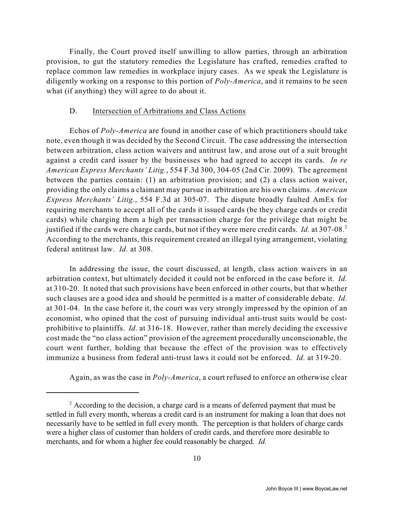Finally, the Court proved itself unwilling to allow parties, through an arbitration provision, to gut the statutory remedies the Legislature has crafted, remedies crafted to replace common law remedies in workplace injury cases. As we speak the Legislature is diligently working on a response to this portion of *Poly-America*, and it remains to be seen what (if anything) they will agree to do about it.

#### D. Intersection of Arbitrations and Class Actions

Echos of *Poly-America* are found in another case of which practitioners should take note, even though it was decided by the Second Circuit. The case addressing the intersection between arbitration, class action waivers and antitrust law, and arose out of a suit brought against a credit card issuer by the businesses who had agreed to accept its cards. *In re American Express Merchants' Litig.*, 554 F.3d 300, 304-05 (2nd Cir. 2009). The agreement between the parties contain: (1) an arbitration provision; and (2) a class action waiver, providing the only claims a claimant may pursue in arbitration are his own claims. *American Express Merchants' Litig.*, 554 F.3d at 305-07. The dispute broadly faulted AmEx for requiring merchants to accept all of the cards it issued cards (be they charge cards or credit cards) while charging them a high per transaction charge for the privilege that might be justified if the cards were charge cards, but not if they were mere credit cards. *Id.* at 307-08.<sup>2</sup> According to the merchants, this requirement created an illegal tying arrangement, violating federal antitrust law. *Id.* at 308.

In addressing the issue, the court discussed, at length, class action waivers in an arbitration context, but ultimately decided it could not be enforced in the case before it. *Id.* at 310-20. It noted that such provisions have been enforced in other courts, but that whether such clauses are a good idea and should be permitted is a matter of considerable debate. *Id.* at 301-04. In the case before it, the court was very strongly impressed by the opinion of an economist, who opined that the cost of pursuing individual anti-trust suits would be costprohibitive to plaintiffs. *Id.* at 316-18. However, rather than merely deciding the excessive cost made the "no class action" provision of the agreement procedurally unconscionable, the court went further, holding that because the effect of the provision was to effectively immunize a business from federal anti-trust laws it could not be enforced. *Id.* at 319-20.

Again, as was the case in *Poly-America*, a court refused to enforce an otherwise clear

 $2^2$  According to the decision, a charge card is a means of deferred payment that must be settled in full every month, whereas a credit card is an instrument for making a loan that does not necessarily have to be settled in full every month. The perception is that holders of charge cards were a higher class of customer than holders of credit cards, and therefore more desirable to merchants, and for whom a higher fee could reasonably be charged. *Id.*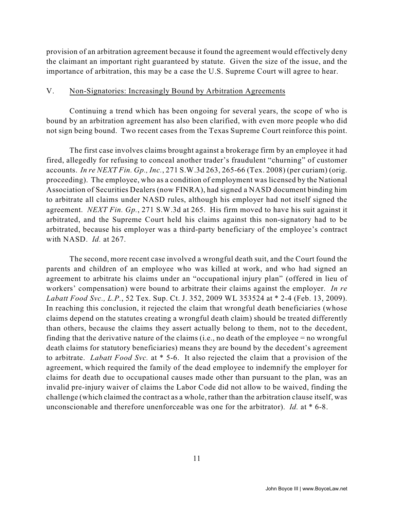provision of an arbitration agreement because it found the agreement would effectively deny the claimant an important right guaranteed by statute. Given the size of the issue, and the importance of arbitration, this may be a case the U.S. Supreme Court will agree to hear.

#### V. Non-Signatories: Increasingly Bound by Arbitration Agreements

Continuing a trend which has been ongoing for several years, the scope of who is bound by an arbitration agreement has also been clarified, with even more people who did not sign being bound. Two recent cases from the Texas Supreme Court reinforce this point.

The first case involves claims brought against a brokerage firm by an employee it had fired, allegedly for refusing to conceal another trader's fraudulent "churning" of customer accounts. *In re NEXT Fin. Gp., Inc.*, 271 S.W.3d 263, 265-66 (Tex. 2008) (per curiam) (orig. proceeding). The employee, who as a condition of employment was licensed by the National Association of Securities Dealers (now FINRA), had signed a NASD document binding him to arbitrate all claims under NASD rules, although his employer had not itself signed the agreement. *NEXT Fin. Gp.*, 271 S.W.3d at 265. His firm moved to have his suit against it arbitrated, and the Supreme Court held his claims against this non-signatory had to be arbitrated, because his employer was a third-party beneficiary of the employee's contract with NASD. *Id.* at 267.

The second, more recent case involved a wrongful death suit, and the Court found the parents and children of an employee who was killed at work, and who had signed an agreement to arbitrate his claims under an "occupational injury plan" (offered in lieu of workers' compensation) were bound to arbitrate their claims against the employer. *In re Labatt Food Svc., L.P.*, 52 Tex. Sup. Ct. J. 352, 2009 WL 353524 at \* 2-4 (Feb. 13, 2009). In reaching this conclusion, it rejected the claim that wrongful death beneficiaries (whose claims depend on the statutes creating a wrongful death claim) should be treated differently than others, because the claims they assert actually belong to them, not to the decedent, finding that the derivative nature of the claims (i.e., no death of the employee = no wrongful death claims for statutory beneficiaries) means they are bound by the decedent's agreement to arbitrate. *Labatt Food Svc.* at \* 5-6. It also rejected the claim that a provision of the agreement, which required the family of the dead employee to indemnify the employer for claims for death due to occupational causes made other than pursuant to the plan, was an invalid pre-injury waiver of claims the Labor Code did not allow to be waived, finding the challenge (which claimed the contract as a whole, rather than the arbitration clause itself, was unconscionable and therefore unenforceable was one for the arbitrator). *Id.* at \* 6-8.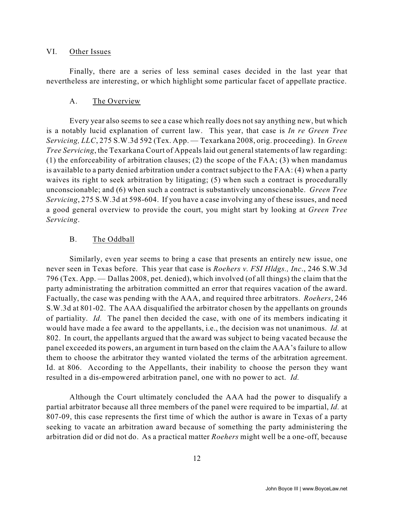#### VI. Other Issues

Finally, there are a series of less seminal cases decided in the last year that nevertheless are interesting, or which highlight some particular facet of appellate practice.

#### A. The Overview

Every year also seems to see a case which really does not say anything new, but which is a notably lucid explanation of current law. This year, that case is *In re Green Tree Servicing, LLC*, 275 S.W.3d 592 (Tex. App. — Texarkana 2008, orig. proceeding). In *Green Tree Servicing*, the Texarkana Court of Appeals laid out general statements of law regarding: (1) the enforceability of arbitration clauses; (2) the scope of the FAA; (3) when mandamus is available to a party denied arbitration under a contract subject to the FAA: (4) when a party waives its right to seek arbitration by litigating; (5) when such a contract is procedurally unconscionable; and (6) when such a contract is substantively unconscionable. *Green Tree Servicing*, 275 S.W.3d at 598-604. If you have a case involving any of these issues, and need a good general overview to provide the court, you might start by looking at *Green Tree Servicing*.

#### B. The Oddball

Similarly, even year seems to bring a case that presents an entirely new issue, one never seen in Texas before. This year that case is *Roehers v. FSI Hldgs., Inc*., 246 S.W.3d 796 (Tex. App. — Dallas 2008, pet. denied), which involved (of all things) the claim that the party administrating the arbitration committed an error that requires vacation of the award. Factually, the case was pending with the AAA, and required three arbitrators. *Roehers*, 246 S.W.3d at 801-02. The AAA disqualified the arbitrator chosen by the appellants on grounds of partiality. *Id.* The panel then decided the case, with one of its members indicating it would have made a fee award to the appellants, i.e., the decision was not unanimous. *Id.* at 802. In court, the appellants argued that the award was subject to being vacated because the panel exceeded its powers, an argument in turn based on the claim the AAA's failure to allow them to choose the arbitrator they wanted violated the terms of the arbitration agreement. Id. at 806. According to the Appellants, their inability to choose the person they want resulted in a dis-empowered arbitration panel, one with no power to act. *Id.*

Although the Court ultimately concluded the AAA had the power to disqualify a partial arbitrator because all three members of the panel were required to be impartial, *Id.* at 807-09, this case represents the first time of which the author is aware in Texas of a party seeking to vacate an arbitration award because of something the party administering the arbitration did or did not do. As a practical matter *Roehers* might well be a one-off, because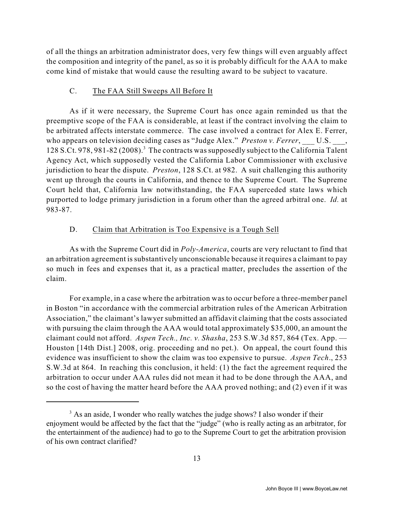of all the things an arbitration administrator does, very few things will even arguably affect the composition and integrity of the panel, as so it is probably difficult for the AAA to make come kind of mistake that would cause the resulting award to be subject to vacature.

### C. The FAA Still Sweeps All Before It

As if it were necessary, the Supreme Court has once again reminded us that the preemptive scope of the FAA is considerable, at least if the contract involving the claim to be arbitrated affects interstate commerce. The case involved a contract for Alex E. Ferrer, who appears on television deciding cases as "Judge Alex." *Preston v. Ferrer*, \_\_\_ U.S. \_\_\_, 128 S.Ct. 978, 981-82 (2008). The contracts was supposedly subject to the California Talent <sup>3</sup> Agency Act, which supposedly vested the California Labor Commissioner with exclusive jurisdiction to hear the dispute. *Preston*, 128 S.Ct. at 982. A suit challenging this authority went up through the courts in California, and thence to the Supreme Court. The Supreme Court held that, California law notwithstanding, the FAA superceded state laws which purported to lodge primary jurisdiction in a forum other than the agreed arbitral one. *Id.* at 983-87.

## D. Claim that Arbitration is Too Expensive is a Tough Sell

As with the Supreme Court did in *Poly-America*, courts are very reluctant to find that an arbitration agreement is substantively unconscionable because it requires a claimant to pay so much in fees and expenses that it, as a practical matter, precludes the assertion of the claim.

For example, in a case where the arbitration was to occur before a three-member panel in Boston "in accordance with the commercial arbitration rules of the American Arbitration Association," the claimant's lawyer submitted an affidavit claiming that the costs associated with pursuing the claim through the AAA would total approximately \$35,000, an amount the claimant could not afford. *Aspen Tech., Inc. v. Shasha*, 253 S.W.3d 857, 864 (Tex. App. — Houston [14th Dist.] 2008, orig. proceeding and no pet.). On appeal, the court found this evidence was insufficient to show the claim was too expensive to pursue. *Aspen Tech*., 253 S.W.3d at 864. In reaching this conclusion, it held: (1) the fact the agreement required the arbitration to occur under AAA rules did not mean it had to be done through the AAA, and so the cost of having the matter heard before the AAA proved nothing; and (2) even if it was

<sup>&</sup>lt;sup>3</sup> As an aside, I wonder who really watches the judge shows? I also wonder if their enjoyment would be affected by the fact that the "judge" (who is really acting as an arbitrator, for the entertainment of the audience) had to go to the Supreme Court to get the arbitration provision of his own contract clarified?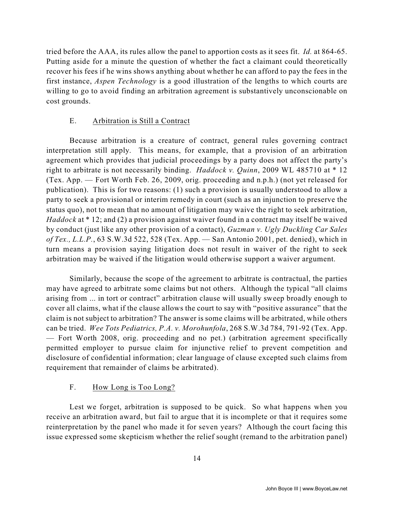tried before the AAA, its rules allow the panel to apportion costs as it sees fit. *Id.* at 864-65. Putting aside for a minute the question of whether the fact a claimant could theoretically recover his fees if he wins shows anything about whether he can afford to pay the fees in the first instance, *Aspen Technology* is a good illustration of the lengths to which courts are willing to go to avoid finding an arbitration agreement is substantively unconscionable on cost grounds.

## E. Arbitration is Still a Contract

Because arbitration is a creature of contract, general rules governing contract interpretation still apply. This means, for example, that a provision of an arbitration agreement which provides that judicial proceedings by a party does not affect the party's right to arbitrate is not necessarily binding. *Haddock v. Quinn*, 2009 WL 485710 at \* 12 (Tex. App. — Fort Worth Feb. 26, 2009, orig. proceeding and n.p.h.) (not yet released for publication). This is for two reasons: (1) such a provision is usually understood to allow a party to seek a provisional or interim remedy in court (such as an injunction to preserve the status quo), not to mean that no amount of litigation may waive the right to seek arbitration, *Haddock* at \* 12; and (2) a provision against waiver found in a contract may itself be waived by conduct (just like any other provision of a contact), *Guzman v. Ugly Duckling Car Sales of Tex., L.L.P.*, 63 S.W.3d 522, 528 (Tex. App. — San Antonio 2001, pet. denied), which in turn means a provision saying litigation does not result in waiver of the right to seek arbitration may be waived if the litigation would otherwise support a waiver argument.

Similarly, because the scope of the agreement to arbitrate is contractual, the parties may have agreed to arbitrate some claims but not others. Although the typical "all claims arising from ... in tort or contract" arbitration clause will usually sweep broadly enough to cover all claims, what if the clause allows the court to say with "positive assurance" that the claim is not subject to arbitration? The answer is some claims will be arbitrated, while others can be tried. *Wee Tots Pediatrics, P.A. v. Morohunfola*, 268 S.W.3d 784, 791-92 (Tex. App. — Fort Worth 2008, orig. proceeding and no pet.) (arbitration agreement specifically permitted employer to pursue claim for injunctive relief to prevent competition and disclosure of confidential information; clear language of clause excepted such claims from requirement that remainder of claims be arbitrated).

# F. How Long is Too Long?

Lest we forget, arbitration is supposed to be quick. So what happens when you receive an arbitration award, but fail to argue that it is incomplete or that it requires some reinterpretation by the panel who made it for seven years? Although the court facing this issue expressed some skepticism whether the relief sought (remand to the arbitration panel)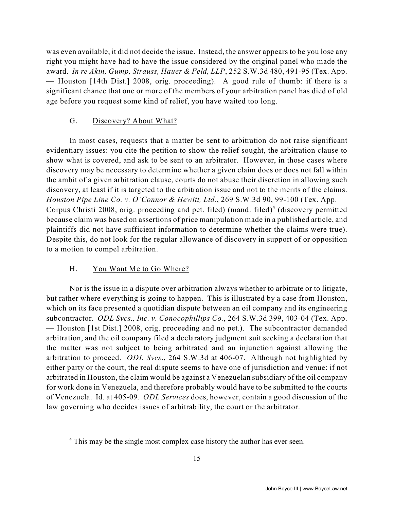was even available, it did not decide the issue. Instead, the answer appears to be you lose any right you might have had to have the issue considered by the original panel who made the award. *In re Akin, Gump, Strauss, Hauer & Feld, LLP*, 252 S.W.3d 480, 491-95 (Tex. App. — Houston [14th Dist.] 2008, orig. proceeding). A good rule of thumb: if there is a significant chance that one or more of the members of your arbitration panel has died of old age before you request some kind of relief, you have waited too long.

## G. Discovery? About What?

In most cases, requests that a matter be sent to arbitration do not raise significant evidentiary issues: you cite the petition to show the relief sought, the arbitration clause to show what is covered, and ask to be sent to an arbitrator. However, in those cases where discovery may be necessary to determine whether a given claim does or does not fall within the ambit of a given arbitration clause, courts do not abuse their discretion in allowing such discovery, at least if it is targeted to the arbitration issue and not to the merits of the claims. *Houston Pipe Line Co. v. O'Connor & Hewitt, Ltd.*, 269 S.W.3d 90, 99-100 (Tex. App. — Corpus Christi 2008, orig. proceeding and pet. filed) (mand. filed)<sup>4</sup> (discovery permitted because claim was based on assertions of price manipulation made in a published article, and plaintiffs did not have sufficient information to determine whether the claims were true). Despite this, do not look for the regular allowance of discovery in support of or opposition to a motion to compel arbitration.

## H. You Want Me to Go Where?

Nor is the issue in a dispute over arbitration always whether to arbitrate or to litigate, but rather where everything is going to happen. This is illustrated by a case from Houston, which on its face presented a quotidian dispute between an oil company and its engineering subcontractor. *ODL Svcs., Inc. v. Conocophillips Co.*, 264 S.W.3d 399, 403-04 (Tex. App. — Houston [1st Dist.] 2008, orig. proceeding and no pet.). The subcontractor demanded arbitration, and the oil company filed a declaratory judgment suit seeking a declaration that the matter was not subject to being arbitrated and an injunction against allowing the arbitration to proceed. *ODL Svcs*., 264 S.W.3d at 406-07. Although not highlighted by either party or the court, the real dispute seems to have one of jurisdiction and venue: if not arbitrated in Houston, the claim would be against a Venezuelan subsidiary of the oil company for work done in Venezuela, and therefore probably would have to be submitted to the courts of Venezuela. Id. at 405-09. *ODL Services* does, however, contain a good discussion of the law governing who decides issues of arbitrability, the court or the arbitrator.

<sup>&</sup>lt;sup>4</sup> This may be the single most complex case history the author has ever seen.